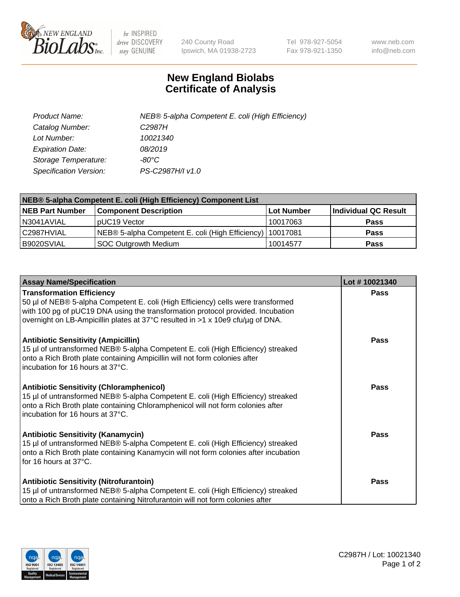

 $be$  INSPIRED drive DISCOVERY stay GENUINE

240 County Road Ipswich, MA 01938-2723 Tel 978-927-5054 Fax 978-921-1350 www.neb.com info@neb.com

## **New England Biolabs Certificate of Analysis**

| Product Name:           | NEB® 5-alpha Competent E. coli (High Efficiency) |
|-------------------------|--------------------------------------------------|
| Catalog Number:         | C <sub>2987</sub> H                              |
| Lot Number:             | 10021340                                         |
| <b>Expiration Date:</b> | 08/2019                                          |
| Storage Temperature:    | -80°C                                            |
| Specification Version:  | PS-C2987H/I v1.0                                 |

| NEB® 5-alpha Competent E. coli (High Efficiency) Component List |                                                             |                   |                      |  |
|-----------------------------------------------------------------|-------------------------------------------------------------|-------------------|----------------------|--|
| <b>NEB Part Number</b>                                          | <b>Component Description</b>                                | <b>Lot Number</b> | Individual QC Result |  |
| N3041AVIAL                                                      | pUC19 Vector                                                | 10017063          | <b>Pass</b>          |  |
| C2987HVIAL                                                      | NEB® 5-alpha Competent E. coli (High Efficiency)   10017081 |                   | <b>Pass</b>          |  |
| B9020SVIAL                                                      | <b>SOC Outgrowth Medium</b>                                 | 10014577          | <b>Pass</b>          |  |

| <b>Assay Name/Specification</b>                                                                                                                                                                                                                                                           | Lot #10021340 |
|-------------------------------------------------------------------------------------------------------------------------------------------------------------------------------------------------------------------------------------------------------------------------------------------|---------------|
| <b>Transformation Efficiency</b><br>50 µl of NEB® 5-alpha Competent E. coli (High Efficiency) cells were transformed<br>with 100 pg of pUC19 DNA using the transformation protocol provided. Incubation<br>overnight on LB-Ampicillin plates at 37°C resulted in >1 x 10e9 cfu/µg of DNA. | <b>Pass</b>   |
| <b>Antibiotic Sensitivity (Ampicillin)</b><br>15 µl of untransformed NEB® 5-alpha Competent E. coli (High Efficiency) streaked<br>onto a Rich Broth plate containing Ampicillin will not form colonies after<br>incubation for 16 hours at 37°C.                                          | Pass          |
| <b>Antibiotic Sensitivity (Chloramphenicol)</b><br>15 µl of untransformed NEB® 5-alpha Competent E. coli (High Efficiency) streaked<br>onto a Rich Broth plate containing Chloramphenicol will not form colonies after<br>incubation for 16 hours at 37°C.                                | Pass          |
| <b>Antibiotic Sensitivity (Kanamycin)</b><br>15 µl of untransformed NEB® 5-alpha Competent E. coli (High Efficiency) streaked<br>onto a Rich Broth plate containing Kanamycin will not form colonies after incubation<br>for 16 hours at 37°C.                                            | Pass          |
| <b>Antibiotic Sensitivity (Nitrofurantoin)</b><br>15 µl of untransformed NEB® 5-alpha Competent E. coli (High Efficiency) streaked<br>onto a Rich Broth plate containing Nitrofurantoin will not form colonies after                                                                      | <b>Pass</b>   |